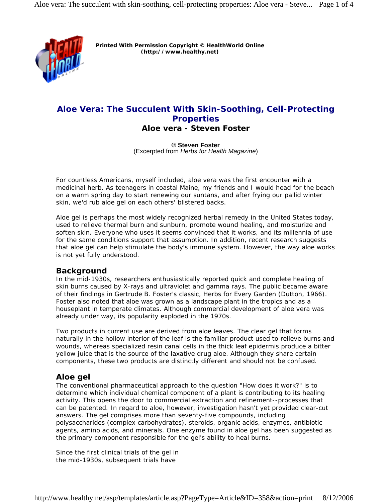## **Aloe Vera: The Succulent With Skin-Soothing, Cell-Protecting Properties Aloe vera - Steven Foster**

**© Steven Foster** (Excerpted from *Herbs for Health Magazine*)

For countless Americans, myself included, aloe vera was the first encounter with a medicinal herb. As teenagers in coastal Maine, my friends and I would head for the beach on a warm spring day to start renewing our suntans, and after frying our pallid winter skin, we'd rub aloe gel on each others' blistered backs.

Aloe gel is perhaps the most widely recognized herbal remedy in the United States today, used to relieve thermal burn and sunburn, promote wound healing, and moisturize and soften skin. Everyone who uses it seems convinced that it works, and its millennia of use for the same conditions support that assumption. In addition, recent research suggests that aloe gel can help stimulate the body's immune system. However, the way aloe works is not yet fully understood.

# **Background**

In the mid-1930s, researchers enthusiastically reported quick and complete healing of skin burns caused by X-rays and ultraviolet and gamma rays. The public became aware of their findings in Gertrude B. Foster's classic, *Herbs for Every Garden* (Dutton, 1966). Foster also noted that aloe was grown as a landscape plant in the tropics and as a houseplant in temperate climates. Although commercial development of aloe vera was already under way, its popularity exploded in the 1970s.

Two products in current use are derived from aloe leaves. The clear gel that forms naturally in the hollow interior of the leaf is the familiar product used to relieve burns and wounds, whereas specialized resin canal cells in the thick leaf epidermis produce a bitter yellow juice that is the source of the laxative drug aloe. Although they share certain components, these two products are distinctly different and should not be confused.

## **Aloe gel**

The conventional pharmaceutical approach to the question "How does it work?" is to determine which individual chemical component of a plant is contributing to its healing activity. This opens the door to commercial extraction and refinement--processes that can be patented. In regard to aloe, however, investigation hasn't yet provided clear-cut answers. The gel comprises more than seventy-five compounds, including polysaccharides (complex carbohydrates), steroids, organic acids, enzymes, antibiotic agents, amino acids, and minerals. One enzyme found in aloe gel has been suggested as the primary component responsible for the gel's ability to heal burns.

Since the first clinical trials of the gel in the mid-1930s, subsequent trials have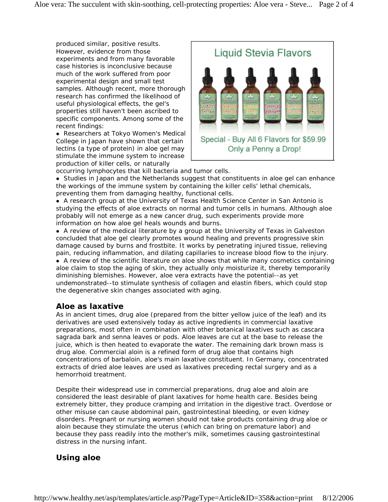produced similar, positive results. However, evidence from those experiments and from many favorable case histories is inconclusive because much of the work suffered from poor experimental design and small test samples. Although recent, more thorough research has confirmed the likelihood of useful physiological effects, the gel's properties still haven't been ascribed to specific components. Among some of the recent findings:

• Researchers at Tokyo Women's Medical College in Japan have shown that certain lectins (a type of protein) in aloe gel may stimulate the immune system to increase production of killer cells, or naturally



occurring lymphocytes that kill bacteria and tumor cells.

• Studies in Japan and the Netherlands suggest that constituents in aloe gel can enhance the workings of the immune system by containing the killer cells' lethal chemicals, preventing them from damaging healthy, functional cells.

• A research group at the University of Texas Health Science Center in San Antonio is studying the effects of aloe extracts on normal and tumor cells in humans. Although aloe probably will not emerge as a new cancer drug, such experiments provide more information on how aloe gel heals wounds and burns.

• A review of the medical literature by a group at the University of Texas in Galveston concluded that aloe gel clearly promotes wound healing and prevents progressive skin damage caused by burns and frostbite. It works by penetrating injured tissue, relieving pain, reducing inflammation, and dilating capillaries to increase blood flow to the injury. • A review of the scientific literature on aloe shows that while many cosmetics containing aloe claim to stop the aging of skin, they actually only moisturize it, thereby temporarily diminishing blemishes. However, aloe vera extracts have the potential--as yet undemonstrated--to stimulate synthesis of collagen and elastin fibers, which could stop the degenerative skin changes associated with aging.

## **Aloe as laxative**

As in ancient times, drug aloe (prepared from the bitter yellow juice of the leaf) and its derivatives are used extensively today as active ingredients in commercial laxative preparations, most often in combination with other botanical laxatives such as cascara sagrada bark and senna leaves or pods. Aloe leaves are cut at the base to release the juice, which is then heated to evaporate the water. The remaining dark brown mass is drug aloe. Commercial aloin is a refined form of drug aloe that contains high concentrations of barbaloin, aloe's main laxative constituent. In Germany, concentrated extracts of dried aloe leaves are used as laxatives preceding rectal surgery and as a hemorrhoid treatment.

Despite their widespread use in commercial preparations, drug aloe and aloin are considered the least desirable of plant laxatives for home health care. Besides being extremely bitter, they produce cramping and irritation in the digestive tract. Overdose or other misuse can cause abdominal pain, gastrointestinal bleeding, or even kidney disorders. Pregnant or nursing women should not take products containing drug aloe or aloin because they stimulate the uterus (which can bring on premature labor) and because they pass readily into the mother's milk, sometimes causing gastrointestinal distress in the nursing infant.

# **Using aloe**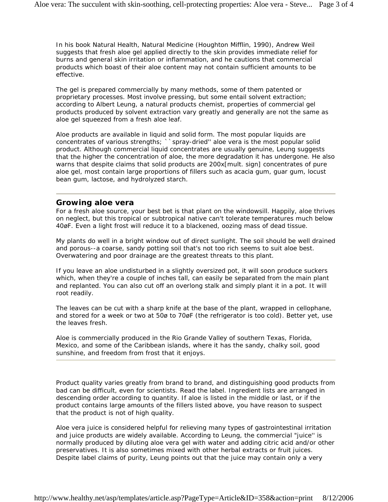In his book *Natural Health, Natural Medicine* (Houghton Mifflin, 1990), Andrew Weil suggests that fresh aloe gel applied directly to the skin provides immediate relief for burns and general skin irritation or inflammation, and he cautions that commercial products which boast of their aloe content may not contain sufficient amounts to be effective.

The gel is prepared commercially by many methods, some of them patented or proprietary processes. Most involve pressing, but some entail solvent extraction; according to Albert Leung, a natural products chemist, properties of commercial gel products produced by solvent extraction vary greatly and generally are not the same as aloe gel squeezed from a fresh aloe leaf.

Aloe products are available in liquid and solid form. The most popular liquids are concentrates of various strengths; ``spray-dried'' aloe vera is the most popular solid product. Although commercial liquid concentrates are usually genuine, Leung suggests that the higher the concentration of aloe, the more degradation it has undergone. He also warns that despite claims that solid products are 200x[mult. sign] concentrates of pure aloe gel, most contain large proportions of fillers such as acacia gum, guar gum, locust bean gum, lactose, and hydrolyzed starch.

#### **Growing aloe vera**

For a fresh aloe source, your best bet is that plant on the windowsill. Happily, aloe thrives on neglect, but this tropical or subtropical native can't tolerate temperatures much below 40øF. Even a light frost will reduce it to a blackened, oozing mass of dead tissue.

My plants do well in a bright window out of direct sunlight. The soil should be well drained and porous--a coarse, sandy potting soil that's not too rich seems to suit aloe best. Overwatering and poor drainage are the greatest threats to this plant.

If you leave an aloe undisturbed in a slightly oversized pot, it will soon produce suckers which, when they're a couple of inches tall, can easily be separated from the main plant and replanted. You can also cut off an overlong stalk and simply plant it in a pot. It will root readily.

The leaves can be cut with a sharp knife at the base of the plant, wrapped in cellophane, and stored for a week or two at 50ø to 70øF (the refrigerator is too cold). Better yet, use the leaves fresh.

Aloe is commercially produced in the Rio Grande Valley of southern Texas, Florida, Mexico, and some of the Caribbean islands, where it has the sandy, chalky soil, good sunshine, and freedom from frost that it enjoys.

Product quality varies greatly from brand to brand, and distinguishing good products from bad can be difficult, even for scientists. Read the label. Ingredient lists are arranged in descending order according to quantity. If aloe is listed in the middle or last, or if the product contains large amounts of the fillers listed above, you have reason to suspect that the product is not of high quality.

Aloe vera juice is considered helpful for relieving many types of gastrointestinal irritation and juice products are widely available. According to Leung, the commercial "juice'' is normally produced by diluting aloe vera gel with water and adding citric acid and/or other preservatives. It is also sometimes mixed with other herbal extracts or fruit juices. Despite label claims of purity, Leung points out that the juice may contain only a very